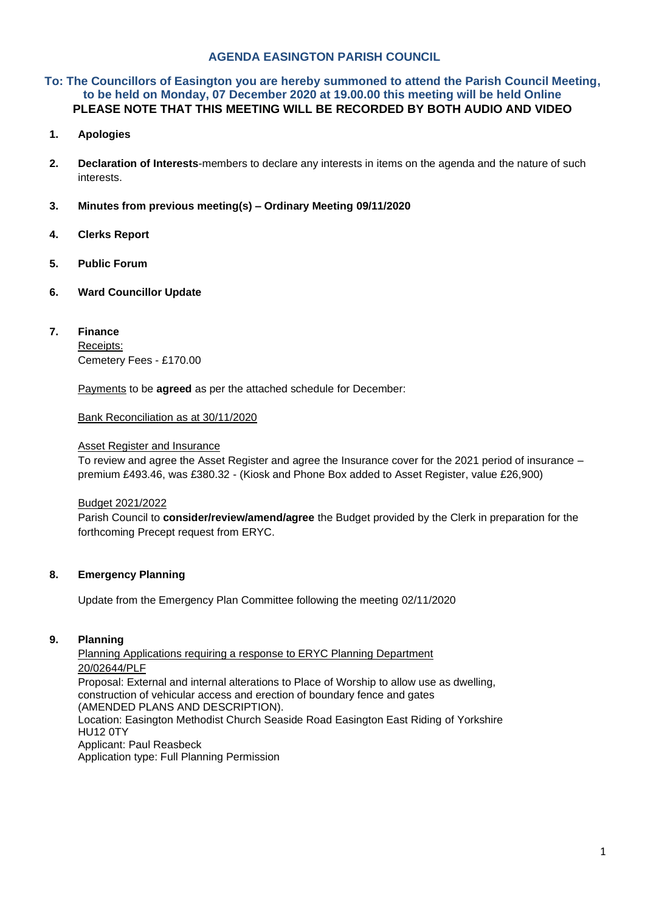## **AGENDA EASINGTON PARISH COUNCIL**

## **To: The Councillors of Easington you are hereby summoned to attend the Parish Council Meeting, to be held on Monday, 07 December 2020 at 19.00.00 this meeting will be held Online PLEASE NOTE THAT THIS MEETING WILL BE RECORDED BY BOTH AUDIO AND VIDEO**

- **1. Apologies**
- **2. Declaration of Interests**-members to declare any interests in items on the agenda and the nature of such interests.
- **3. Minutes from previous meeting(s) – Ordinary Meeting 09/11/2020**
- **4. Clerks Report**
- **5. Public Forum**
- **6. Ward Councillor Update**
- **7. Finance** Receipts: Cemetery Fees - £170.00

Payments to be **agreed** as per the attached schedule for December:

Bank Reconciliation as at 30/11/2020

#### Asset Register and Insurance

To review and agree the Asset Register and agree the Insurance cover for the 2021 period of insurance – premium £493.46, was £380.32 - (Kiosk and Phone Box added to Asset Register, value £26,900)

#### Budget 2021/2022

Parish Council to **consider/review/amend/agree** the Budget provided by the Clerk in preparation for the forthcoming Precept request from ERYC.

### **8. Emergency Planning**

Update from the Emergency Plan Committee following the meeting 02/11/2020

#### **9. Planning**

Planning Applications requiring a response to ERYC Planning Department 20/02644/PLF Proposal: External and internal alterations to Place of Worship to allow use as dwelling, construction of vehicular access and erection of boundary fence and gates (AMENDED PLANS AND DESCRIPTION). Location: Easington Methodist Church Seaside Road Easington East Riding of Yorkshire HU12 0TY Applicant: Paul Reasbeck

Application type: Full Planning Permission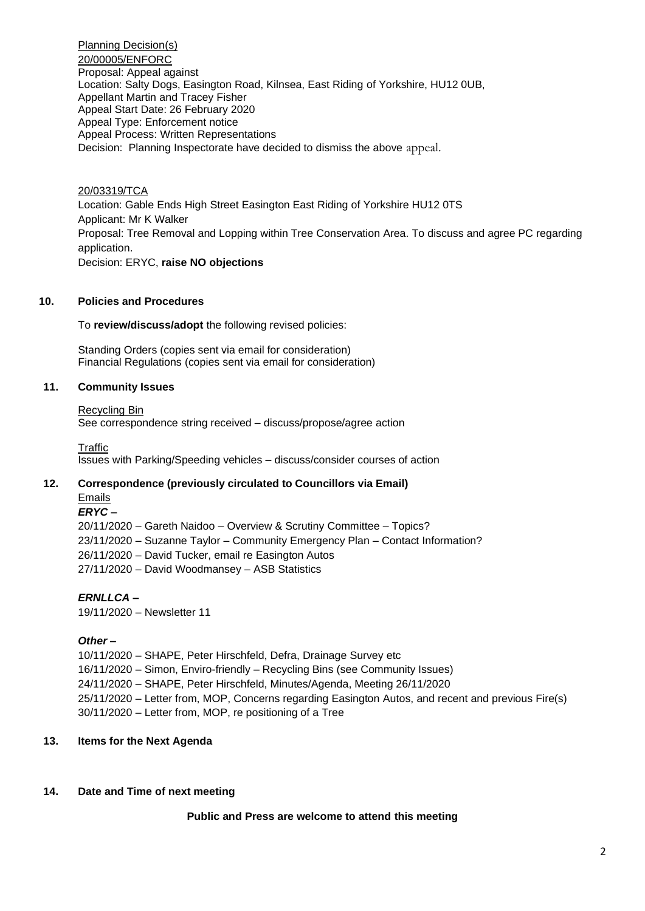Planning Decision(s) 20/00005/ENFORC Proposal: Appeal against Location: Salty Dogs, Easington Road, Kilnsea, East Riding of Yorkshire, HU12 0UB, Appellant Martin and Tracey Fisher Appeal Start Date: 26 February 2020 Appeal Type: Enforcement notice Appeal Process: Written Representations Decision: Planning Inspectorate have decided to dismiss the above appeal.

20/03319/TCA Location: Gable Ends High Street Easington East Riding of Yorkshire HU12 0TS Applicant: Mr K Walker Proposal: Tree Removal and Lopping within Tree Conservation Area. To discuss and agree PC regarding application. Decision: ERYC, **raise NO objections** 

## **10. Policies and Procedures**

To **review/discuss/adopt** the following revised policies:

Standing Orders (copies sent via email for consideration) Financial Regulations (copies sent via email for consideration)

## **11. Community Issues**

#### Recycling Bin

See correspondence string received – discuss/propose/agree action

**Traffic** Issues with Parking/Speeding vehicles – discuss/consider courses of action

#### **12. Correspondence (previously circulated to Councillors via Email)** Emails

## *ERYC* **–**

20/11/2020 – Gareth Naidoo – Overview & Scrutiny Committee – Topics? 23/11/2020 – Suzanne Taylor – Community Emergency Plan – Contact Information? 26/11/2020 – David Tucker, email re Easington Autos 27/11/2020 – David Woodmansey – ASB Statistics

*ERNLLCA* **–**

19/11/2020 – Newsletter 11

*Other –*

10/11/2020 – SHAPE, Peter Hirschfeld, Defra, Drainage Survey etc 16/11/2020 – Simon, Enviro-friendly – Recycling Bins (see Community Issues) 24/11/2020 – SHAPE, Peter Hirschfeld, Minutes/Agenda, Meeting 26/11/2020 25/11/2020 – Letter from, MOP, Concerns regarding Easington Autos, and recent and previous Fire(s) 30/11/2020 – Letter from, MOP, re positioning of a Tree

## **13. Items for the Next Agenda**

# **14. Date and Time of next meeting**

# **Public and Press are welcome to attend this meeting**